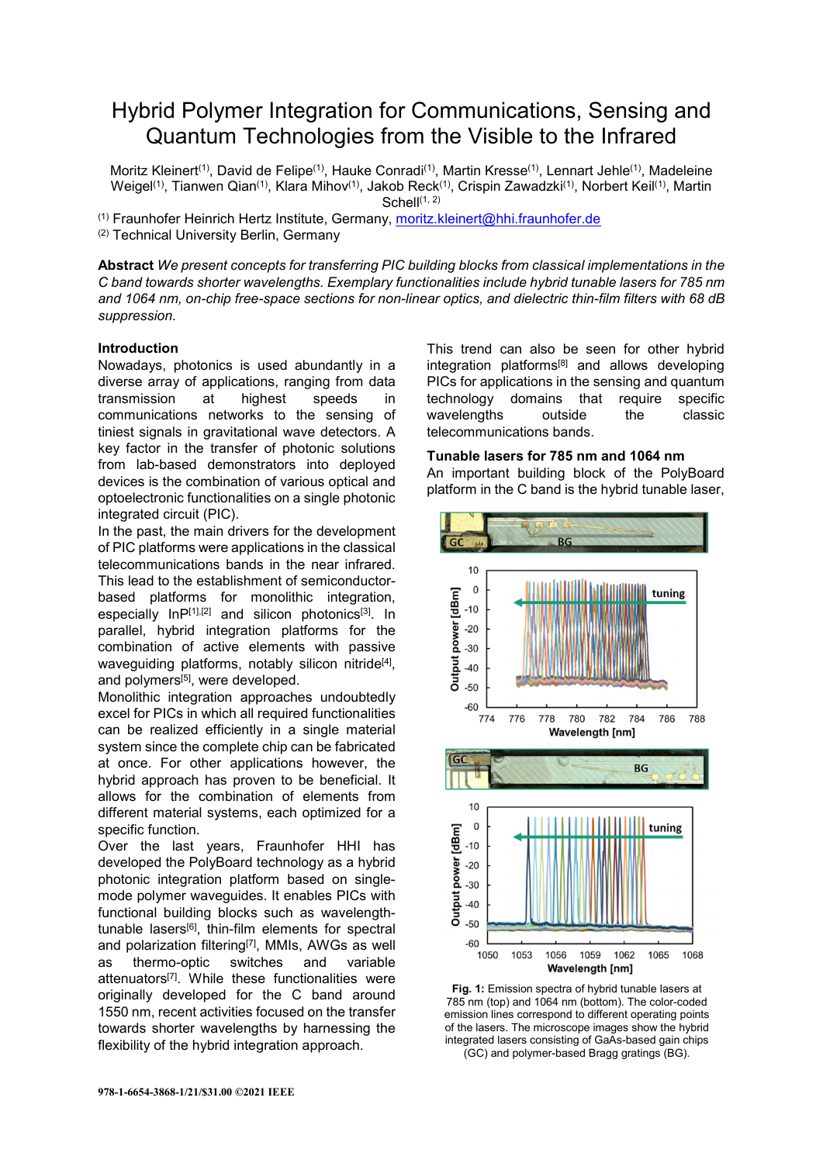# Hybrid Polymer Integration for Communications, Sensing and Quantum Technologies from the Visible to the Infrared

Moritz Kleinert<sup>(1)</sup>, David de Felipe<sup>(1)</sup>, Hauke Conradi<sup>(1)</sup>, Martin Kresse<sup>(1)</sup>, Lennart Jehle<sup>(1)</sup>, Madeleine Weigel<sup>(1)</sup>, Tianwen Qian<sup>(1)</sup>, Klara Mihov<sup>(1)</sup>, Jakob Reck<sup>(1)</sup>, Crispin Zawadzki<sup>(1)</sup>, Norbert Keil<sup>(1)</sup>, Martin Schell $(1, 2)$ 

(1) Fraunhofer Heinrich Hertz Institute, Germany, moritz.kleinert@hhi.fraunhofer.de (2) Technical University Berlin, Germany

**Abstract** *We present concepts for transferring PIC building blocks from classical implementations in the C band towards shorter wavelengths. Exemplary functionalities include hybrid tunable lasers for 785 nm and 1064 nm, on-chip free-space sections for non-linear optics, and dielectric thin-film filters with 68 dB suppression.*

# **Introduction**

Nowadays, photonics is used abundantly in a diverse array of applications, ranging from data transmission at highest speeds in communications networks to the sensing of tiniest signals in gravitational wave detectors. A key factor in the transfer of photonic solutions from lab-based demonstrators into deployed devices is the combination of various optical and optoelectronic functionalities on a single photonic integrated circuit (PIC).

In the past, the main drivers for the development of PIC platforms were applications in the classical telecommunications bands in the near infrared. This lead to the establishment of semiconductorbased platforms for monolithic integration, especially InP[1],[2] and silicon photonics<sup>[3]</sup>. In parallel, hybrid integration platforms for the combination of active elements with passive waveguiding platforms, notably silicon nitride<sup>[4]</sup>, and polymers<sup>[5]</sup>, were developed.

Monolithic integration approaches undoubtedly excel for PICs in which all required functionalities can be realized efficiently in a single material system since the complete chip can be fabricated at once. For other applications however, the hybrid approach has proven to be beneficial. It allows for the combination of elements from different material systems, each optimized for a specific function.

Over the last years, Fraunhofer HHI has developed the PolyBoard technology as a hybrid photonic integration platform based on singlemode polymer waveguides. It enables PICs with functional building blocks such as wavelengthtunable lasers[6], thin-film elements for spectral and polarization filtering<sup>[7]</sup>, MMIs, AWGs as well as thermo-optic switches and variable attenuators<sup>[7]</sup>. While these functionalities were originally developed for the C band around 1550 nm, recent activities focused on the transfer towards shorter wavelengths by harnessing the flexibility of the hybrid integration approach.

This trend can also be seen for other hybrid integration platforms[8] and allows developing PICs for applications in the sensing and quantum technology domains that require specific wavelengths outside the classic telecommunications bands.

## **Tunable lasers for 785 nm and 1064 nm**

An important building block of the PolyBoard platform in the C band is the hybrid tunable laser,



**Fig. 1:** Emission spectra of hybrid tunable lasers at 785 nm (top) and 1064 nm (bottom). The color-coded emission lines correspond to different operating points of the lasers. The microscope images show the hybrid integrated lasers consisting of GaAs-based gain chips (GC) and polymer-based Bragg gratings (BG).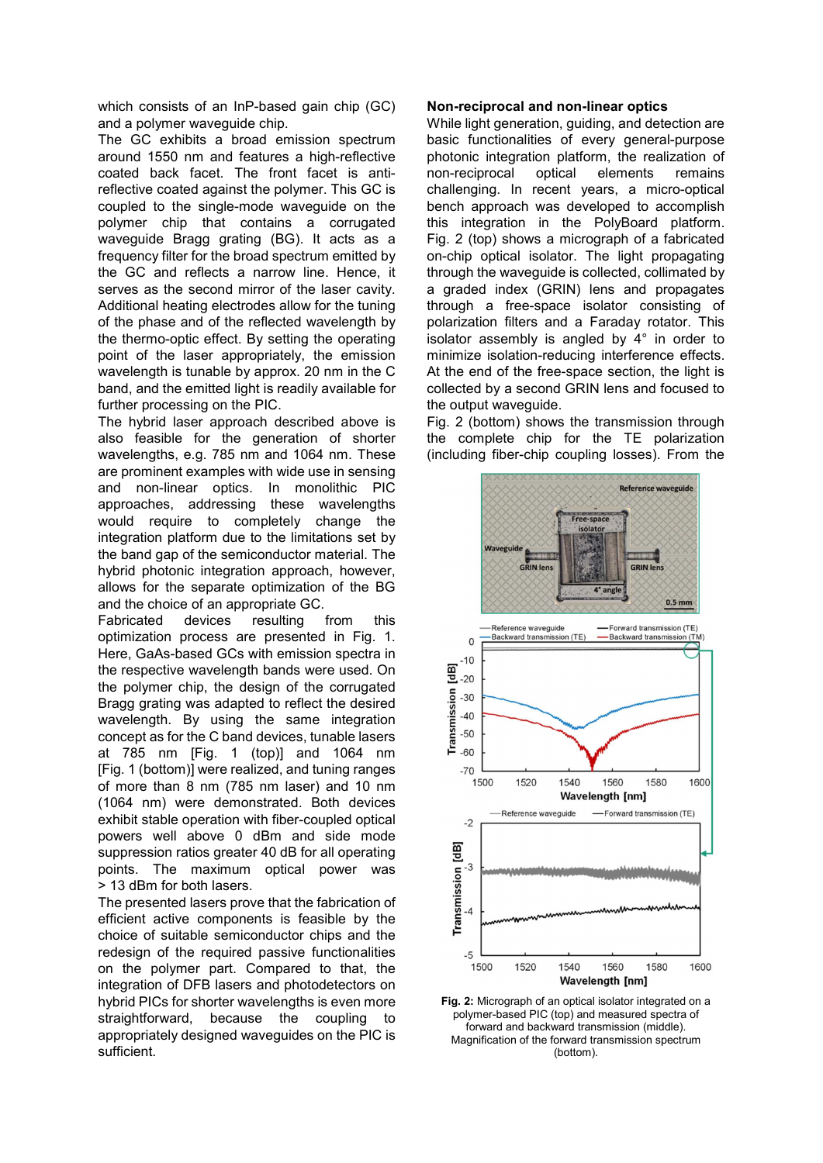which consists of an InP-based gain chip (GC) and a polymer waveguide chip.

The GC exhibits a broad emission spectrum around 1550 nm and features a high-reflective coated back facet. The front facet is antireflective coated against the polymer. This GC is coupled to the single-mode waveguide on the polymer chip that contains a corrugated waveguide Bragg grating (BG). It acts as a frequency filter for the broad spectrum emitted by the GC and reflects a narrow line. Hence, it serves as the second mirror of the laser cavity. Additional heating electrodes allow for the tuning of the phase and of the reflected wavelength by the thermo-optic effect. By setting the operating point of the laser appropriately, the emission wavelength is tunable by approx. 20 nm in the C band, and the emitted light is readily available for further processing on the PIC.

The hybrid laser approach described above is also feasible for the generation of shorter wavelengths, e.g. 785 nm and 1064 nm. These are prominent examples with wide use in sensing and non-linear optics. In monolithic PIC approaches, addressing these wavelengths would require to completely change the integration platform due to the limitations set by the band gap of the semiconductor material. The hybrid photonic integration approach, however, allows for the separate optimization of the BG and the choice of an appropriate GC.

Fabricated devices resulting from this optimization process are presented in Fig. 1. Here, GaAs-based GCs with emission spectra in the respective wavelength bands were used. On the polymer chip, the design of the corrugated Bragg grating was adapted to reflect the desired wavelength. By using the same integration concept as for the C band devices, tunable lasers at 785 nm [Fig. 1 (top)] and 1064 nm [Fig. 1 (bottom)] were realized, and tuning ranges of more than 8 nm (785 nm laser) and 10 nm (1064 nm) were demonstrated. Both devices exhibit stable operation with fiber-coupled optical powers well above 0 dBm and side mode suppression ratios greater 40 dB for all operating points. The maximum optical power was > 13 dBm for both lasers.

The presented lasers prove that the fabrication of efficient active components is feasible by the choice of suitable semiconductor chips and the redesign of the required passive functionalities on the polymer part. Compared to that, the integration of DFB lasers and photodetectors on hybrid PICs for shorter wavelengths is even more straightforward, because the coupling to appropriately designed waveguides on the PIC is sufficient.

## **Non-reciprocal and non-linear optics**

While light generation, guiding, and detection are basic functionalities of every general-purpose photonic integration platform, the realization of non-reciprocal optical elements remains challenging. In recent years, a micro-optical bench approach was developed to accomplish this integration in the PolyBoard platform. Fig. 2 (top) shows a micrograph of a fabricated on-chip optical isolator. The light propagating through the waveguide is collected, collimated by a graded index (GRIN) lens and propagates through a free-space isolator consisting of polarization filters and a Faraday rotator. This isolator assembly is angled by 4° in order to minimize isolation-reducing interference effects. At the end of the free-space section, the light is collected by a second GRIN lens and focused to the output waveguide.

Fig. 2 (bottom) shows the transmission through the complete chip for the TE polarization (including fiber-chip coupling losses). From the



polymer-based PIC (top) and measured spectra of forward and backward transmission (middle). Magnification of the forward transmission spectrum (bottom).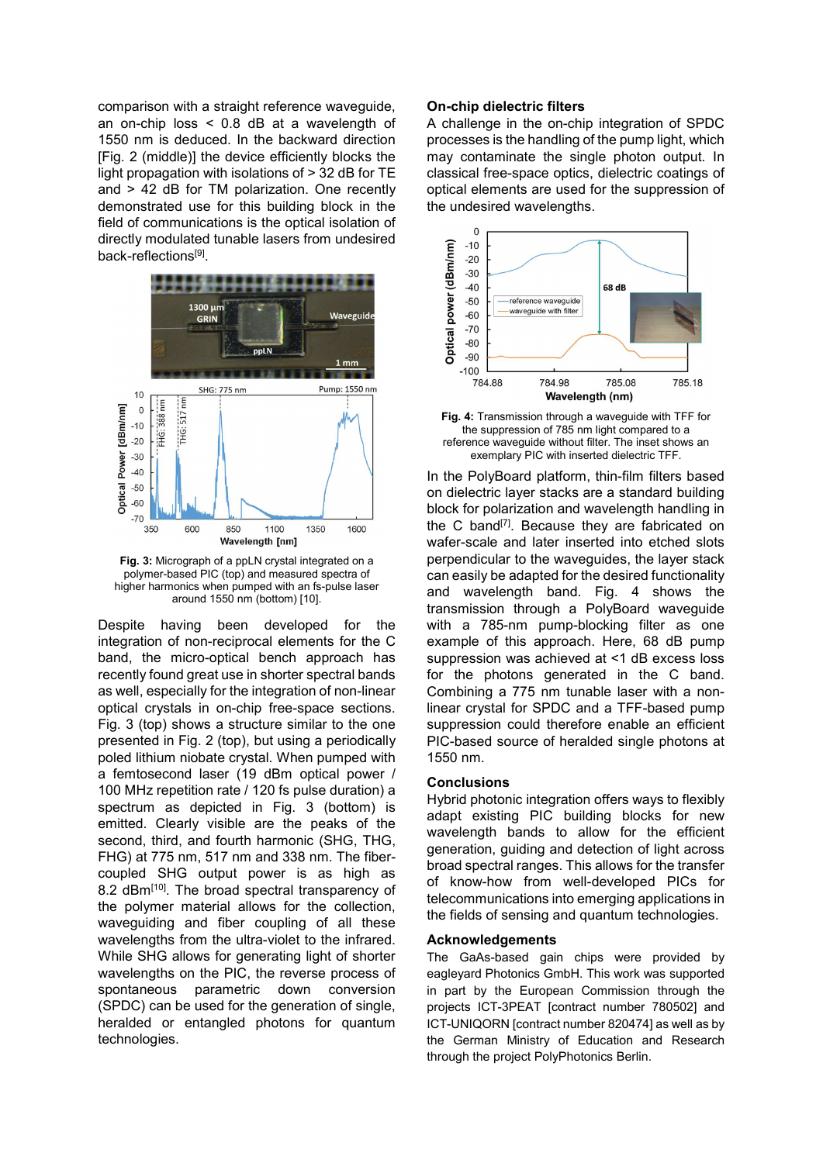comparison with a straight reference waveguide, an on-chip loss < 0.8 dB at a wavelength of 1550 nm is deduced. In the backward direction [Fig. 2 (middle)] the device efficiently blocks the light propagation with isolations of > 32 dB for TE and > 42 dB for TM polarization. One recently demonstrated use for this building block in the field of communications is the optical isolation of directly modulated tunable lasers from undesired back-reflections<sup>[9]</sup>.



**Fig. 3:** Micrograph of a ppLN crystal integrated on a polymer-based PIC (top) and measured spectra of higher harmonics when pumped with an fs-pulse laser around 1550 nm (bottom) [10].

Despite having been developed for the integration of non-reciprocal elements for the C band, the micro-optical bench approach has recently found great use in shorter spectral bands as well, especially for the integration of non-linear optical crystals in on-chip free-space sections. Fig. 3 (top) shows a structure similar to the one presented in Fig. 2 (top), but using a periodically poled lithium niobate crystal. When pumped with a femtosecond laser (19 dBm optical power / 100 MHz repetition rate / 120 fs pulse duration) a spectrum as depicted in Fig. 3 (bottom) is emitted. Clearly visible are the peaks of the second, third, and fourth harmonic (SHG, THG, FHG) at 775 nm, 517 nm and 338 nm. The fibercoupled SHG output power is as high as 8.2 dBm<sup>[10]</sup>. The broad spectral transparency of the polymer material allows for the collection, waveguiding and fiber coupling of all these wavelengths from the ultra-violet to the infrared. While SHG allows for generating light of shorter wavelengths on the PIC, the reverse process of spontaneous parametric down conversion (SPDC) can be used for the generation of single, heralded or entangled photons for quantum technologies.

## **On-chip dielectric filters**

A challenge in the on-chip integration of SPDC processes is the handling of the pump light, which may contaminate the single photon output. In classical free-space optics, dielectric coatings of optical elements are used for the suppression of the undesired wavelengths.



**Fig. 4:** Transmission through a waveguide with TFF for the suppression of 785 nm light compared to a reference waveguide without filter. The inset shows an exemplary PIC with inserted dielectric TFF.

In the PolyBoard platform, thin-film filters based on dielectric layer stacks are a standard building block for polarization and wavelength handling in the C band[7]. Because they are fabricated on wafer-scale and later inserted into etched slots perpendicular to the waveguides, the layer stack can easily be adapted for the desired functionality and wavelength band. Fig. 4 shows the transmission through a PolyBoard waveguide with a 785-nm pump-blocking filter as one example of this approach. Here, 68 dB pump suppression was achieved at <1 dB excess loss for the photons generated in the C band. Combining a 775 nm tunable laser with a nonlinear crystal for SPDC and a TFF-based pump suppression could therefore enable an efficient PIC-based source of heralded single photons at 1550 nm.

#### **Conclusions**

Hybrid photonic integration offers ways to flexibly adapt existing PIC building blocks for new wavelength bands to allow for the efficient generation, guiding and detection of light across broad spectral ranges. This allows for the transfer of know-how from well-developed PICs for telecommunications into emerging applications in the fields of sensing and quantum technologies.

## **Acknowledgements**

The GaAs-based gain chips were provided by eagleyard Photonics GmbH. This work was supported in part by the European Commission through the projects ICT-3PEAT [contract number 780502] and ICT-UNIQORN [contract number 820474] as well as by the German Ministry of Education and Research through the project PolyPhotonics Berlin.